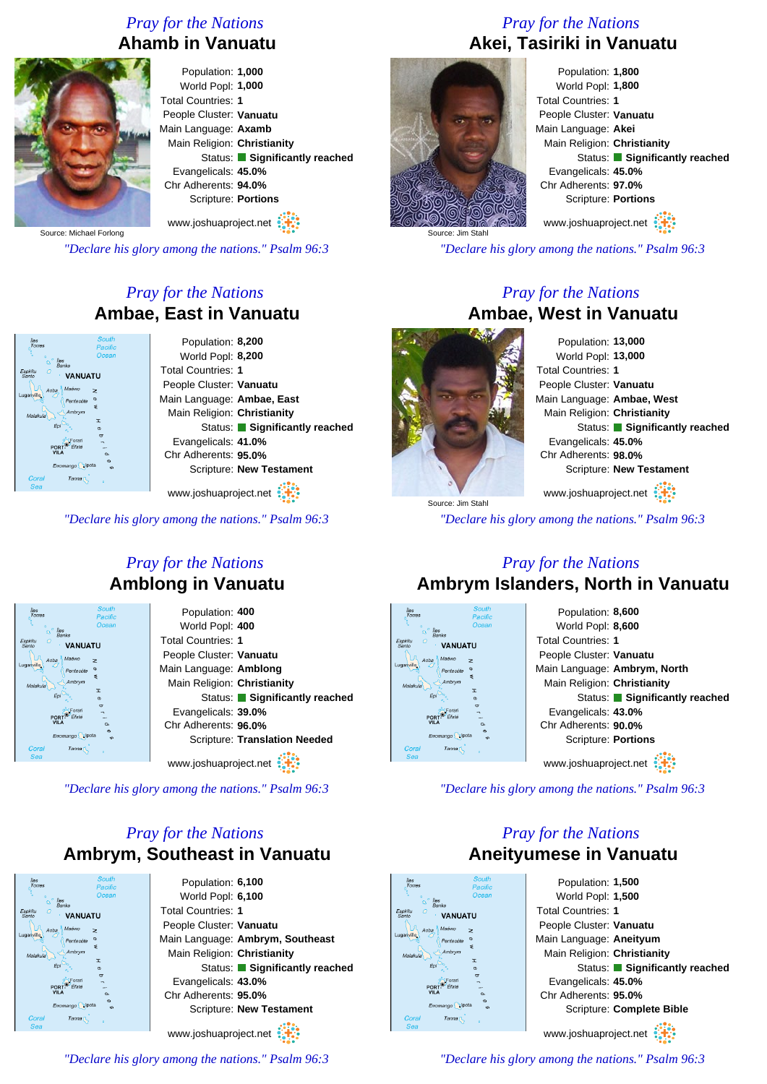#### *Pray for the Nations* **Ahamb in Vanuatu**



Population: **1,000** World Popl: **1,000** Total Countries: **1** People Cluster: **Vanuatu** Main Language: **Axamb** Main Religion: **Christianity** Status: **Significantly reached** Evangelicals: **45.0%** Chr Adherents: **94.0%** Scripture: **Portions**

www.joshuaproject.net

Source: Michael Forlong

*"Declare his glory among the nations." Psalm 96:3*

#### *Pray for the Nations* **Ambae, East in Vanuatu**

| <b>South</b><br>Pacific              | Population: 8,200             |
|--------------------------------------|-------------------------------|
| Ocean<br><i>lles</i>                 | World Popl: 8,200             |
| Banks<br>G<br><b>VANUATU</b>         | <b>Total Countries: 1</b>     |
| Maéwo<br>Aoba<br>>                   | People Cluster: Vanuatu       |
| Pentecóte                            | Main Language: Ambae, East    |
| ٤<br>Ambrym<br><b>I</b>              | Main Religion: Christianity   |
| $\sigma$                             | Status: Significantly reached |
| ರ                                    | Evangelicals: 41.0%           |
| <b>VIL A</b><br>$\alpha$<br>$\sigma$ | Chr Adherents: 95.0%          |
| Erromango pota<br><b>CD</b>          | Scripture: New Testament      |
| Tanna <sub>[</sub>                   | $\sim$ $\sim$                 |

www.joshuaproject.net

*"Declare his glory among the nations." Psalm 96:3*

#### *Pray for the Nations* **Amblong in Vanuatu**

| <b>South</b><br>Îles<br>Torres<br>Pacific | Population: 400                      |
|-------------------------------------------|--------------------------------------|
| Ocean<br>lles                             | World Popl: 400                      |
| Banks<br><b>VANUATU</b>                   | <b>Total Countries: 1</b>            |
| Maéwo<br>Aoba<br>>                        | People Cluster: Vanuatu              |
| Pentecóte<br>s                            | Main Language: Amblong               |
| Ambrym<br>Malakula<br>T                   | Main Religion: Christianity          |
| $\sigma$                                  | Status: Significantly reached        |
| ಠ<br>POR <sub>1</sub>                     | Evangelicals: 39.0%                  |
| $\alpha$<br>$\sigma$                      | Chr Adherents: 96.0%                 |
| Erromango pota<br>cn.                     | <b>Scripture: Translation Needed</b> |
| Coral<br>Tanna <sub>[</sub><br>Sea        | www.joshuaproject.net                |
|                                           |                                      |

*"Declare his glory among the nations." Psalm 96:3*

#### *Pray for the Nations* **Ambrym, Southeast in Vanuatu**



Population: **6,100** World Popl: **6,100** Total Countries: **1** People Cluster: **Vanuatu** Main Language: **Ambrym, Southeast** Main Religion: **Christianity** Status: **Significantly reached** Evangelicals: **43.0%** Chr Adherents: **95.0%** Scripture: **New Testament** www.joshuaproject.net

*"Declare his glory among the nations." Psalm 96:3*

#### *Pray for the Nations* **Akei, Tasiriki in Vanuatu**



Population: **1,800** World Popl: **1,800** Total Countries: **1** People Cluster: **Vanuatu** Main Language: **Akei** Main Religion: **Christianity** Status: **Significantly reached** Evangelicals: **45.0%** Chr Adherents: **97.0%** Scripture: **Portions**

www.joshuaproject.net

*"Declare his glory among the nations." Psalm 96:3*

#### *Pray for the Nations* **Ambae, West in Vanuatu**

Source: Jim Stahl

Population: **13,000** World Popl: **13,000** Total Countries: **1** People Cluster: **Vanuatu** Main Language: **Ambae, West** Main Religion: **Christianity** Status: **Significantly reached** Evangelicals: **45.0%** Chr Adherents: **98.0%** Scripture: **New Testament**

www.joshuaproject.net

*"Declare his glory among the nations." Psalm 96:3*

#### *Pray for the Nations* **Ambrym Islanders, North in Vanuatu**



*"Declare his glory among the nations." Psalm 96:3*

*Pray for the Nations* **Aneityumese in Vanuatu**

# **VANUATL**

Population: **1,500** World Popl: **1,500** Total Countries: **1** People Cluster: **Vanuatu** Main Language: **Aneityum** Main Religion: **Christianity** Status: **Significantly reached** Evangelicals: **45.0%** Chr Adherents: **95.0%** Scripture: **Complete Bible** www.joshuaproject.net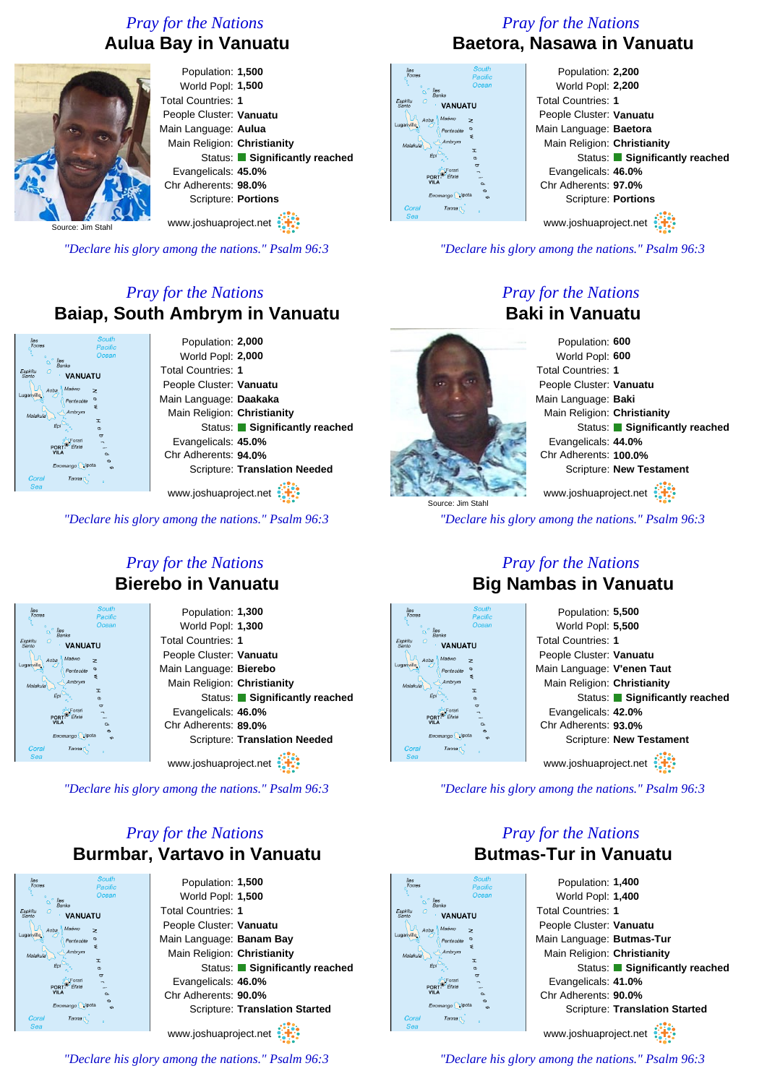#### *Pray for the Nations* **Aulua Bay in Vanuatu**



Population: **1,500** World Popl: **1,500** Total Countries: **1** People Cluster: **Vanuatu** Main Language: **Aulua** Main Religion: **Christianity** Status: **Significantly reached** Evangelicals: **45.0%** Chr Adherents: **98.0%** Scripture: **Portions** www.joshuaproject.net

Source: Jim Stahl

*"Declare his glory among the nations." Psalm 96:3*

#### *Pray for the Nations* **Baiap, South Ambrym in Vanuatu**

Population: **2,000** World Popl: **2,000** Total Countries: **1 VANIJATI** People Cluster: **Vanuatu** Main Language: **Daakaka** Main Religion: **Christianity** Status: **Significantly reached** Evangelicals: **45.0%** Chr Adherents: **94.0%** Scripture: **Translation Needed**

www.joshuaproject.net

*"Declare his glory among the nations." Psalm 96:3*

#### *Pray for the Nations* **Baetora, Nasawa in Vanuatu**

| <b>South</b><br><b>S</b><br>mes<br>Pacific | Population: 2,200             |
|--------------------------------------------|-------------------------------|
| Ocean<br><b>Iles</b>                       | World Popl: 2,200             |
| <b>Banks</b><br><b>VANUATU</b>             | <b>Total Countries: 1</b>     |
| Maéwo<br>Aoba<br>z                         | People Cluster: Vanuatu       |
| Pentecóte<br>₹                             | Main Language: Baetora        |
| Ambrym<br>I                                | Main Religion: Christianity   |
| ¢                                          | Status: Significantly reached |
| $\sigma$                                   | Evangelicals: 46.0%           |
| VILA<br>$\sim$<br>$\infty$                 | Chr Adherents: 97.0%          |
| Erromango pota<br>$\epsilon$               | Scripture: Portions           |
| oral<br>Tanna <sub>(</sub><br>ea           |                               |
|                                            |                               |

www.joshuaproject.net

*"Declare his glory among the nations." Psalm 96:3*

#### *Pray for the Nations* **Baki in Vanuatu**

Population: **600** World Popl: **600** Total Countries: **1** People Cluster: **Vanuatu** Main Language: **Baki** Main Religion: **Christianity** Status: **Significantly reached** Evangelicals: **44.0%** Chr Adherents: **100.0%** Scripture: **New Testament** www.joshuaproject.net

*"Declare his glory among the nations." Psalm 96:3*

#### *Pray for the Nations* **Bierebo in Vanuatu**

| Îles<br>Torres<br>ä<br>$\circ$<br><b>Îles</b><br>n<br><b>Banks</b><br>Espiritu<br><b>VANUATU</b><br>Santo<br>Maéwo<br>Aoba<br>Luganville | <b>South</b><br>Pacific<br>Ocean<br>z |
|------------------------------------------------------------------------------------------------------------------------------------------|---------------------------------------|
| Pentecóte                                                                                                                                | $\sigma$                              |
| Ambrym<br>Malakula                                                                                                                       | ₹                                     |
| Épi                                                                                                                                      | T<br>$\sigma$                         |
| Forari                                                                                                                                   | <b>es</b>                             |
| Éfaté<br>POR<br><b>VILA</b>                                                                                                              |                                       |
|                                                                                                                                          | a.<br>$\omega$                        |
| Erromango                                                                                                                                | pota<br>cn.                           |
| Coral<br>Tanna<br>Sea                                                                                                                    | ٥                                     |
|                                                                                                                                          |                                       |

Population: **1,300** World Popl: **1,300** Total Countries: **1** People Cluster: **Vanuatu** Main Language: **Bierebo** Main Religion: **Christianity** Status: **Significantly reached** Evangelicals: **46.0%** Chr Adherents: **89.0%** Scripture: **Translation Needed**

www.joshuaproject.net

*"Declare his glory among the nations." Psalm 96:3*

#### *Pray for the Nations* **Burmbar, Vartavo in Vanuatu**



Population: **1,500** World Popl: **1,500** Total Countries: **1** People Cluster: **Vanuatu** Main Language: **Banam Bay** Main Religion: **Christianity** Status: **Significantly reached** Evangelicals: **46.0%** Chr Adherents: **90.0%** Scripture: **Translation Started** www.joshuaproject.net

*"Declare his glory among the nations." Psalm 96:3*

#### *Pray for the Nations* **Big Nambas in Vanuatu**



*"Declare his glory among the nations." Psalm 96:3*

*Pray for the Nations*

## **Butmas-Tur in Vanuatu VANIJATI**

#### Population: **1,400** World Popl: **1,400** Total Countries: **1** People Cluster: **Vanuatu** Main Language: **Butmas-Tur** Main Religion: **Christianity** Status: **Significantly reached** Evangelicals: **41.0%** Chr Adherents: **90.0%** Scripture: **Translation Started** www.joshuaproject.net

*"Declare his glory among the nations." Psalm 96:3*



Source: Jim Stahl

Espini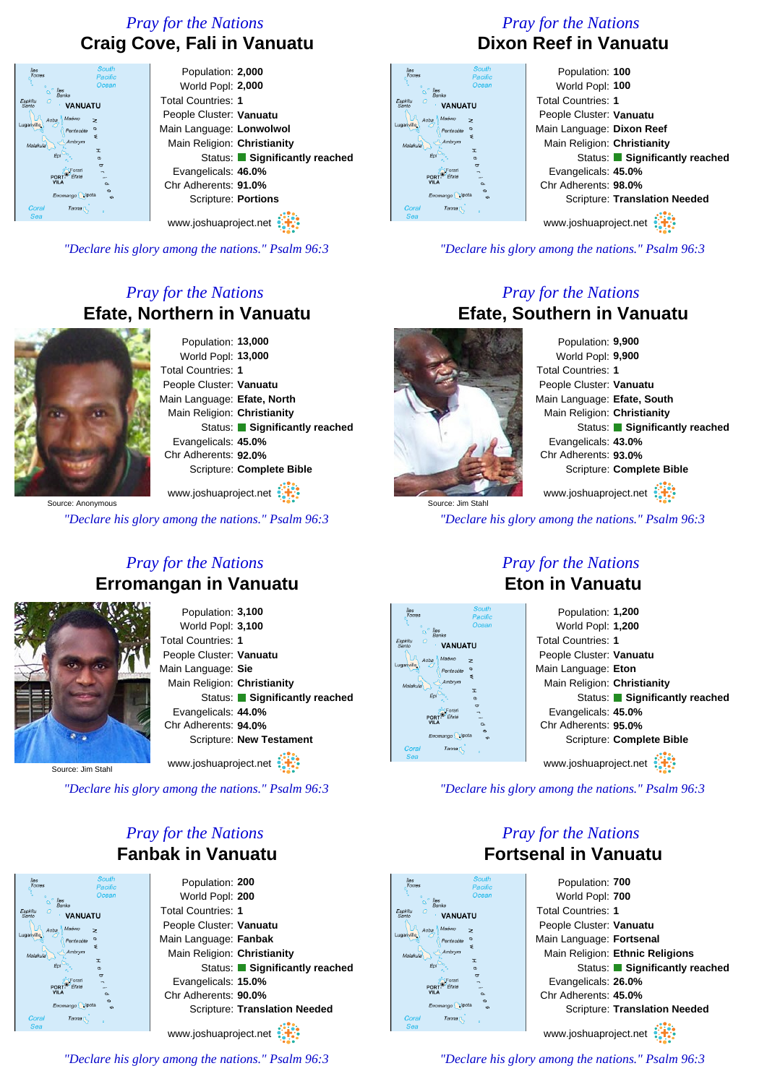#### *Pray for the Nations* **Craig Cove, Fali in Vanuatu**



*"Declare his glory among the nations." Psalm 96:3*

#### *Pray for the Nations* **Efate, Northern in Vanuatu**

Population: **13,000** World Popl: **13,000** Total Countries: **1** People Cluster: **Vanuatu** Main Language: **Efate, North** Main Religion: **Christianity** Status: **Significantly reached** Evangelicals: **45.0%** Chr Adherents: **92.0%** Scripture: **Complete Bible**

Source: Anonymous www.joshuaproject.net

*"Declare his glory among the nations." Psalm 96:3*

#### *Pray for the Nations* **Erromangan in Vanuatu**



Population: **3,100** World Popl: **3,100** Total Countries: **1** People Cluster: **Vanuatu** Main Language: **Sie** Main Religion: **Christianity** Status: **Significantly reached** Evangelicals: **44.0%** Chr Adherents: **94.0%** Scripture: **New Testament**

www.joshuaproject.net

Source: Jim Stahl

**VANIJATI** 

*"Declare his glory among the nations." Psalm 96:3*

#### *Pray for the Nations* **Fanbak in Vanuatu**

Population: **200** World Popl: **200** Total Countries: **1** People Cluster: **Vanuatu** Main Language: **Fanbak** Main Religion: **Christianity** Status: **Significantly reached** Evangelicals: **15.0%** Chr Adherents: **90.0%** Scripture: **Translation Needed**

www.joshuaproject.net

#### *"Declare his glory among the nations." Psalm 96:3*

#### *Pray for the Nations* **Dixon Reef in Vanuatu**

| <b>South</b><br>Pacific        | Population: 100                      |
|--------------------------------|--------------------------------------|
| Ocean<br><i>lles</i>           | World Popl: 100                      |
| <b>Banks</b><br><b>VANUATU</b> | <b>Total Countries: 1</b>            |
| Maéwo<br>oba<br>$\geq$         | People Cluster: Vanuatu              |
| Pentecote                      | Main Language: Dixon Reef            |
| ₹<br>Ambrym                    | Main Religion: Christianity          |
| T<br>$\circ$                   | Status: Significantly reached        |
| ᠳ<br>PORT-                     | Evangelicals: 45.0%                  |
| VII.A<br>o.                    | Chr Adherents: 98.0%                 |
| Erromango pota<br>$\epsilon$   | <b>Scripture: Translation Needed</b> |
| Tanna <sub>1</sub>             |                                      |
|                                | www.jochuanroject.net                |

www.joshuaproject.net

*"Declare his glory among the nations." Psalm 96:3*

#### *Pray for the Nations* **Efate, Southern in Vanuatu**

Source: Jim Stahl

Population: **9,900** World Popl: **9,900** Total Countries: **1** People Cluster: **Vanuatu** Main Language: **Efate, South** Main Religion: **Christianity** Status: **Significantly reached** Evangelicals: **43.0%** Chr Adherents: **93.0%** Scripture: **Complete Bible** www.joshuaproject.net

*"Declare his glory among the nations." Psalm 96:3*



#### *Pray for the Nations* **Eton in Vanuatu**

| Population: 1,200             |
|-------------------------------|
| World Popl: 1,200             |
| <b>Total Countries: 1</b>     |
| People Cluster: Vanuatu       |
| Main Language: Eton           |
| Main Religion: Christianity   |
| Status: Significantly reached |
| Evangelicals: 45.0%           |
| Chr Adherents: 95.0%          |
| Scripture: Complete Bible     |
|                               |
| www.joshuaproject.net         |

*"Declare his glory among the nations." Psalm 96:3*

*Pray for the Nations* **Fortsenal in Vanuatu**

# **VANIJATI**

Population: **700** World Popl: **700** Total Countries: **1** People Cluster: **Vanuatu** Main Language: **Fortsenal** Main Religion: **Ethnic Religions** Status: **Significantly reached** Evangelicals: **26.0%** Chr Adherents: **45.0%** Scripture: **Translation Needed** www.joshuaproject.net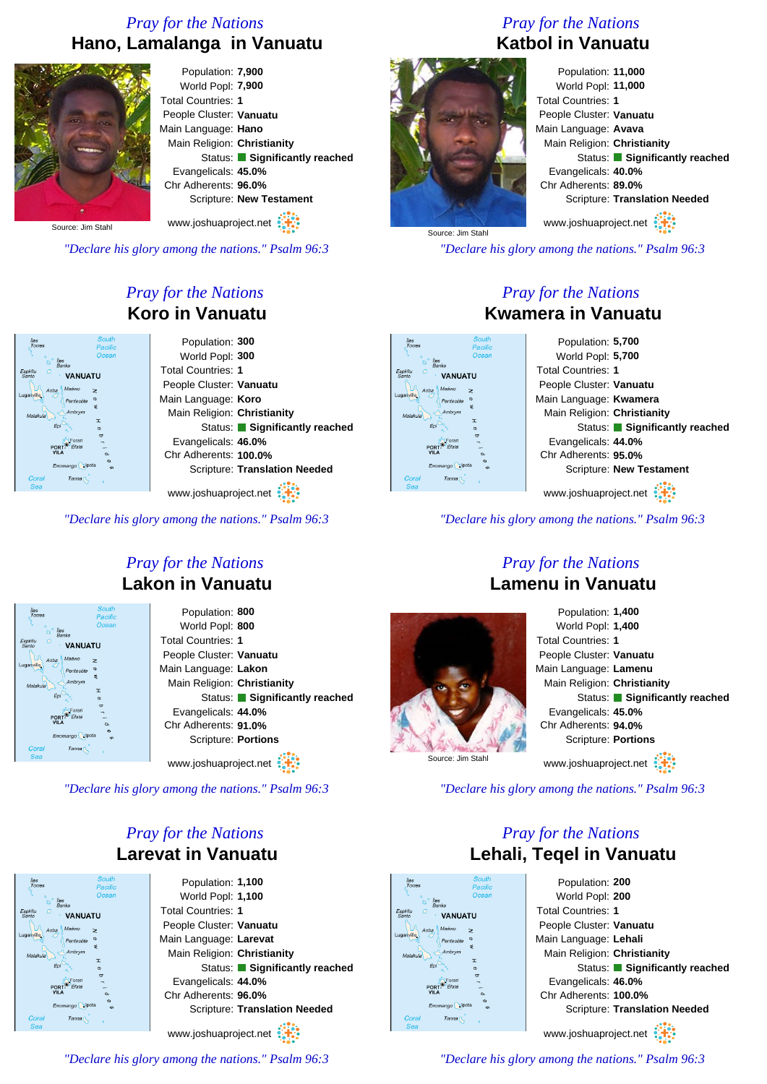#### *Pray for the Nations* **Hano, Lamalanga in Vanuatu**



Population: **7,900** World Popl: **7,900** Total Countries: **1** People Cluster: **Vanuatu** Main Language: **Hano** Main Religion: **Christianity** Status: **Significantly reached** Evangelicals: **45.0%** Chr Adherents: **96.0%** Scripture: **New Testament**

Source: Jim Stahl

*"Declare his glory among the nations." Psalm 96:3*

#### *Pray for the Nations* **Koro in Vanuatu**

| <b>South</b><br>Pacific        | Population: 300                      |
|--------------------------------|--------------------------------------|
| Ocean<br><i>lles</i>           | World Popl: 300                      |
| <b>Banks</b><br><b>VANUATU</b> | <b>Total Countries: 1</b>            |
| Maéwo<br>loba<br>$\geq$        | People Cluster: Vanuatu              |
| Pentecóte                      | Main Language: Koro                  |
| ÷<br>Ambrym                    | Main Religion: Christianity          |
| I<br>Epi<br>ø                  | Status: Significantly reached        |
| $\sigma$                       | Evangelicals: 46.0%                  |
| VIL.<br>$\alpha$<br>$\sigma$   | Chr Adherents: 100.0%                |
| Erromango pota<br>$\epsilon$   | <b>Scripture: Translation Needed</b> |
| <b>Tanna</b>                   |                                      |

www.joshuaproject.net

*"Declare his glory among the nations." Psalm 96:3*

#### *Pray for the Nations* **Lakon in Vanuatu**

| South<br>lles<br>Torres<br>Pacific                       | Population: 800               |
|----------------------------------------------------------|-------------------------------|
| Ocean<br>lles                                            | World Popl: 800               |
| <b>Banks</b><br>Espiritu<br>G<br><b>VANUATU</b><br>Santo | <b>Total Countries: 1</b>     |
| Maéwo<br>Aoba<br>z                                       | People Cluster: Vanuatu       |
| Luganville<br>œ<br>Pentecóte                             | Main Language: Lakon          |
| ₹<br>Ambrym<br>Malakula                                  | Main Religion: Christianity   |
| T<br>Êрі<br>$\sigma$                                     | Status: Significantly reached |
| $\overline{a}$<br>orar<br>PORT-<br>Éfate                 | Evangelicals: 44.0%           |
| <b>VILA</b><br>$\alpha$<br>Ø                             | Chr Adherents: 91.0%          |
| Erromango pota<br>cn.                                    | Scripture: Portions           |
| Coral<br>Tanna <sub>I</sub><br>Sea                       |                               |
|                                                          | www.joshuaproject.net         |

**VANIJATI** 

*"Declare his glory among the nations." Psalm 96:3*

#### *Pray for the Nations* **Larevat in Vanuatu**

Population: **1,100** World Popl: **1,100** Total Countries: **1** People Cluster: **Vanuatu** Main Language: **Larevat** Main Religion: **Christianity** Status: **Significantly reached** Evangelicals: **44.0%** Chr Adherents: **96.0%** Scripture: **Translation Needed** www.joshuaproject.net

*"Declare his glory among the nations." Psalm 96:3*

#### *Pray for the Nations* **Katbol in Vanuatu**



Population: **11,000** World Popl: **11,000** Total Countries: **1** People Cluster: **Vanuatu** Main Language: **Avava** Main Religion: **Christianity** Status: **Significantly reached** Evangelicals: **40.0%** Chr Adherents: **89.0%** Scripture: **Translation Needed** www.joshuaproject.net

*"Declare his glory among the nations." Psalm 96:3*

#### *Pray for the Nations* **Kwamera in Vanuatu**

Population: **5,700** World Popl: **5,700** Total Countries: **1 VANIJATI** People Cluster: **Vanuatu** Main Language: **Kwamera** Main Religion: **Christianity** Status: **Significantly reached** Evangelicals: **44.0%** Chr Adherents: **95.0%** Scripture: **New Testament** www.joshuaproject.net

*"Declare his glory among the nations." Psalm 96:3*

#### *Pray for the Nations* **Lamenu in Vanuatu**



Population: **1,400** World Popl: **1,400** Total Countries: **1** People Cluster: **Vanuatu** Main Language: **Lamenu** Main Religion: **Christianity** Status: **Significantly reached** Evangelicals: **45.0%** Chr Adherents: **94.0%** Scripture: **Portions** www.joshuaproject.net

*"Declare his glory among the nations." Psalm 96:3*

#### *Pray for the Nations* **Lehali, Teqel in Vanuatu**



Population: **200** World Popl: **200** Total Countries: **1** People Cluster: **Vanuatu** Main Language: **Lehali** Main Religion: **Christianity** Status: **Significantly reached** Evangelicals: **46.0%** Chr Adherents: **100.0%** Scripture: **Translation Needed** www.joshuaproject.net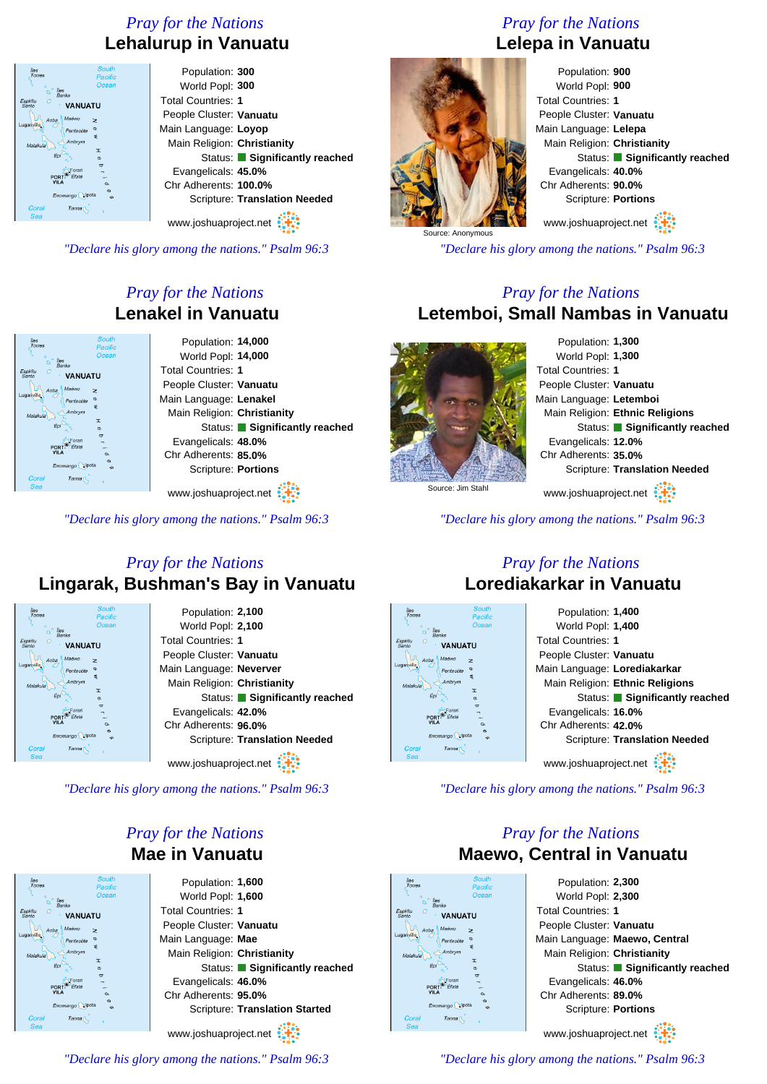#### *Pray for the Nations* **Lehalurup in Vanuatu**

| <b>South</b><br>Îles<br>Torres<br>Pacific    | Population: 300                      |
|----------------------------------------------|--------------------------------------|
| Ocean<br><b>Iles</b>                         | World Popl: 300                      |
| Banks<br>Espiritu<br><b>VANUATU</b><br>Santo | <b>Total Countries: 1</b>            |
| Maéwo<br>Aoba<br>z                           | People Cluster: Vanuatu              |
| Luganville<br>$\sigma$<br>Pentecóte<br>₹     | Main Language: Loyop                 |
| Ambrym<br>Malakula<br>T                      | Main Religion: Christianity          |
| Epi<br>$\sigma$                              | Status: Significantly reached        |
| $\sigma$<br>-orari<br>PORT                   | Evangelicals: 45.0%                  |
| <b>VILA</b><br>$\sim$                        | Chr Adherents: 100.0%                |
| Erromango pota<br>c                          | <b>Scripture: Translation Needed</b> |
| Coral<br>Tanna <sub>[</sub><br>Sea           |                                      |
|                                              | www.joshuaproject.net                |

*"Declare his glory among the nations." Psalm 96:3*

#### *Pray for the Nations* **Lenakel in Vanuatu**



*"Declare his glory among the nations." Psalm 96:3*

#### *Pray for the Nations* **Lelepa in Vanuatu**



World Popl: **900** Total Countries: **1** People Cluster: **Vanuatu** Main Language: **Lelepa** Main Religion: **Christianity** Status: **Significantly reached** Evangelicals: **40.0%** Chr Adherents: **90.0%** Scripture: **Portions**

www.joshuaproject.net

*"Declare his glory among the nations." Psalm 96:3*

#### *Pray for the Nations* **Letemboi, Small Nambas in Vanuatu**



Population: **1,300** World Popl: **1,300** Total Countries: **1** People Cluster: **Vanuatu** Main Language: **Letemboi** Main Religion: **Ethnic Religions** Status: **Significantly reached** Evangelicals: **12.0%** Chr Adherents: **35.0%** Scripture: **Translation Needed** www.joshuaproject.net

*"Declare his glory among the nations." Psalm 96:3*

#### *Pray for the Nations* **Lingarak, Bushman's Bay in Vanuatu**



Population: **2,100** World Popl: **2,100** Total Countries: **1** People Cluster: **Vanuatu** Main Language: **Neverver** Main Religion: **Christianity** Status: **Significantly reached** Evangelicals: **42.0%** Chr Adherents: **96.0%** Scripture: **Translation Needed**

www.joshuaproject.net

*"Declare his glory among the nations." Psalm 96:3*

#### *Pray for the Nations* **Mae in Vanuatu**



Population: **1,600** World Popl: **1,600** Total Countries: **1** People Cluster: **Vanuatu** Main Language: **Mae** Main Religion: **Christianity** Status: **Significantly reached** Evangelicals: **46.0%** Chr Adherents: **95.0%** Scripture: **Translation Started** www.joshuaproject.net

*"Declare his glory among the nations." Psalm 96:3*

#### *Pray for the Nations* **Lorediakarkar in Vanuatu**



*"Declare his glory among the nations." Psalm 96:3*

#### *Pray for the Nations* **Maewo, Central in Vanuatu**



Population: **2,300** World Popl: **2,300** Total Countries: **1** People Cluster: **Vanuatu** Main Language: **Maewo, Central** Main Religion: **Christianity** Status: **Significantly reached** Evangelicals: **46.0%** Chr Adherents: **89.0%** Scripture: **Portions** www.joshuaproject.net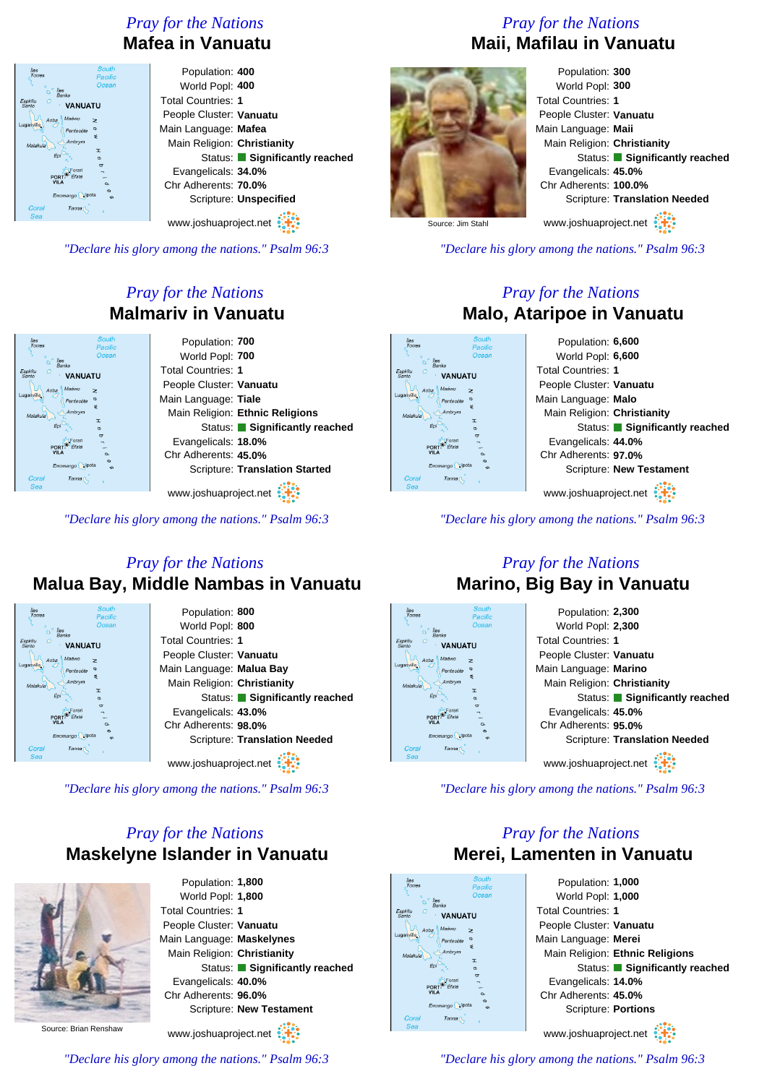#### *Pray for the Nations* **Mafea in Vanuatu**

| <b>South</b><br>Îles<br>Torres<br>Pacific<br>Ocean                             | Population: 400<br>World Popl: 400 |
|--------------------------------------------------------------------------------|------------------------------------|
| <b>Iles</b><br>$\Omega$<br><b>Banks</b><br>Espiritu<br><b>VANUATU</b><br>Santo | <b>Total Countries: 1</b>          |
| Maéwo<br>Aoba<br>$\geq$                                                        | People Cluster: Vanuatu            |
| Luganville.<br>Pentecóte<br>s                                                  | Main Language: Mafea               |
| Ambrym<br>Malakula<br>T                                                        | Main Religion: Christianity        |
| Eρ<br>$\sigma$                                                                 | Status: Significantly reached      |
| $\sigma$<br>Forari<br>Éfaté<br>PORT                                            | Evangelicals: 34.0%                |
| VILA<br>$\alpha$<br>$\sigma$                                                   | Chr Adherents: 70.0%               |
| Erromango pota<br>$\Omega$                                                     | Scripture: Unspecified             |
| Coral<br>Tanna <b>N</b><br>Sea                                                 | www.joshuaproject.net              |

*"Declare his glory among the nations." Psalm 96:3*

#### *Pray for the Nations* **Malmariv in Vanuatu**



www.joshuaproject.net

*"Declare his glory among the nations." Psalm 96:3*

#### *Pray for the Nations* **Malua Bay, Middle Nambas in Vanuatu**



*"Declare his glory among the nations." Psalm 96:3*

#### *Pray for the Nations* **Maskelyne Islander in Vanuatu**

*"Declare his glory among the nations." Psalm 96:3*



Population: **1,800** World Popl: **1,800** Total Countries: **1** People Cluster: **Vanuatu** Main Language: **Maskelynes** Main Religion: **Christianity** Status: **Significantly reached** Evangelicals: **40.0%** Chr Adherents: **96.0%** Scripture: **New Testament** www.joshuaproject.net

Source: Brian Renshaw

#### *Pray for the Nations* **Maii, Mafilau in Vanuatu**



Population: **300** World Popl: **300** Total Countries: **1** People Cluster: **Vanuatu** Main Language: **Maii** Main Religion: **Christianity** Status: **Significantly reached** Evangelicals: **45.0%** Chr Adherents: **100.0%** Scripture: **Translation Needed**

www.joshuaproject.net

Source: Jim Stahl

*"Declare his glory among the nations." Psalm 96:3*

#### *Pray for the Nations* **Malo, Ataripoe in Vanuatu**

Population: **6,600** World Popl: **6,600** Total Countries: **1 VANHATH** People Cluster: **Vanuatu** Main Language: **Malo** Main Religion: **Christianity** Status: **Significantly reached** Evangelicals: **44.0%** Chr Adherents: **97.0%** Scripture: **New Testament** www.joshuaproject.net

*"Declare his glory among the nations." Psalm 96:3*

### **Marino, Big Bay in Vanuatu**



*"Declare his glory among the nations." Psalm 96:3*

#### *Pray for the Nations* **Merei, Lamenten in Vanuatu**



Population: **1,000** World Popl: **1,000** Total Countries: **1** People Cluster: **Vanuatu** Main Language: **Merei** Main Religion: **Ethnic Religions** Status: **Significantly reached** Evangelicals: **14.0%** Chr Adherents: **45.0%** Scripture: **Portions** www.joshuaproject.net

### *Pray for the Nations*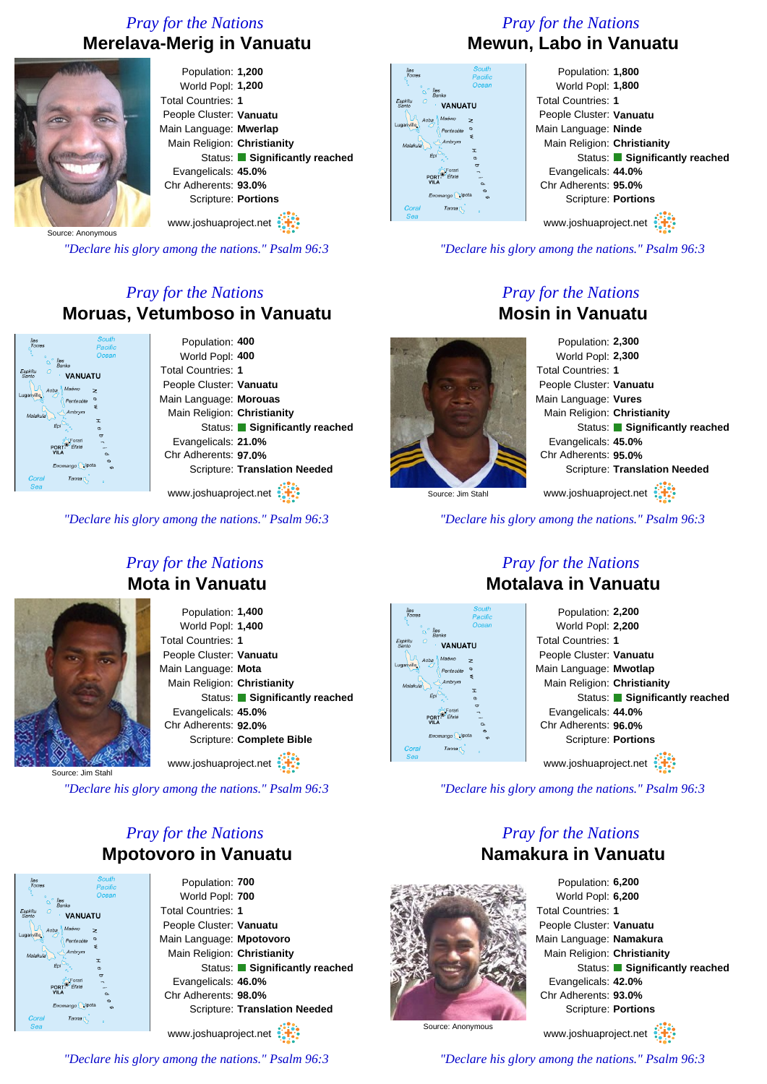#### *Pray for the Nations* **Merelava-Merig in Vanuatu**



Source: Anonymous

*"Declare his glory among the nations." Psalm 96:3*

#### *Pray for the Nations* **Moruas, Vetumboso in Vanuatu**

| South<br>Pacific                               | Population: 400               |
|------------------------------------------------|-------------------------------|
| Ocean                                          | World Popl: 400               |
| ks<br><b>VANUATU</b>                           | <b>Total Countries: 1</b>     |
| Maéwo<br>>                                     | People Cluster: Vanuatu       |
| Pentecóte                                      | Main Language: Morouas        |
| ÷<br>Ambrym                                    | Main Religion: Christianity   |
| <b>I</b><br>$\sigma$                           | Status: Significantly reached |
| $\overline{a}$<br>Forari<br><sup>2</sup> Éfate | Evangelicals: 21.0%           |
| $\alpha$<br>$\sigma$                           | Chr Adherents: 97.0%          |
| ango pota<br>$\epsilon$                        | Scripture: Translation Needed |
| Tanna <sub>[</sub>                             |                               |

www.joshuaproject.net

*"Declare his glory among the nations." Psalm 96:3*

#### *Pray for the Nations* **Mewun, Labo in Vanuatu**

| South<br>res<br><b>Pacific</b><br>Ocean     | Population: 1,800<br>World Popl: 1,800 |
|---------------------------------------------|----------------------------------------|
| lles<br><b>Banks</b><br>Ω<br><b>VANUATU</b> | <b>Total Countries: 1</b>              |
| Maéwo<br>Aoba<br>$\geq$                     | People Cluster: Vanuatu                |
| Pentecóte                                   | Main Language: Ninde                   |
| s<br>Ambrym                                 | Main Religion: Christianity            |
| I<br>¢                                      | Status: Significantly reached          |
| $\sigma$<br>PORT-                           | Evangelicals: 44.0%                    |
| <b>VILA</b><br>o.<br>$\infty$               | Chr Adherents: 95.0%                   |
| Erromango Upota<br>$\epsilon$               | Scripture: Portions                    |
| ral<br>Tanna <sub>1</sub><br>ā              | . .                                    |

www.joshuaproject.net

*"Declare his glory among the nations." Psalm 96:3*

#### *Pray for the Nations* **Mosin in Vanuatu**

Population: **2,300** World Popl: **2,300** Total Countries: **1** People Cluster: **Vanuatu** Main Language: **Vures** Main Religion: **Christianity** Status: **Significantly reached** Evangelicals: **45.0%** Chr Adherents: **95.0%** Scripture: **Translation Needed** www.joshuaproject.net

Source: Jim Stahl

Espini

*"Declare his glory among the nations." Psalm 96:3*



POR

#### *Pray for the Nations* **Mota in Vanuatu**

Population: **1,400** World Popl: **1,400** Total Countries: **1** People Cluster: **Vanuatu** Main Language: **Mota** Main Religion: **Christianity** Status: **Significantly reached** Evangelicals: **45.0%** Chr Adherents: **92.0%** Scripture: **Complete Bible** www.joshuaproject.net

Source: Jim Stahl

*"Declare his glory among the nations." Psalm 96:3*

#### *Pray for the Nations* **Mpotovoro in Vanuatu**

**VANIJATI** 

Population: **700** World Popl: **700** Total Countries: **1** People Cluster: **Vanuatu** Main Language: **Mpotovoro** Main Religion: **Christianity** Status: **Significantly reached** Evangelicals: **46.0%** Chr Adherents: **98.0%** Scripture: **Translation Needed**

www.joshuaproject.net

*"Declare his glory among the nations." Psalm 96:3*



www.joshuaproject.net

*"Declare his glory among the nations." Psalm 96:3*

#### *Pray for the Nations* **Namakura in Vanuatu**



Population: **6,200** World Popl: **6,200** Total Countries: **1** People Cluster: **Vanuatu** Main Language: **Namakura** Main Religion: **Christianity** Status: **Significantly reached** Evangelicals: **42.0%** Chr Adherents: **93.0%** Scripture: **Portions** www.joshuaproject.net

Source: Anonymous

*"Declare his glory among the nations." Psalm 96:3*

#### *Pray for the Nations* **Motalava in Vanuatu**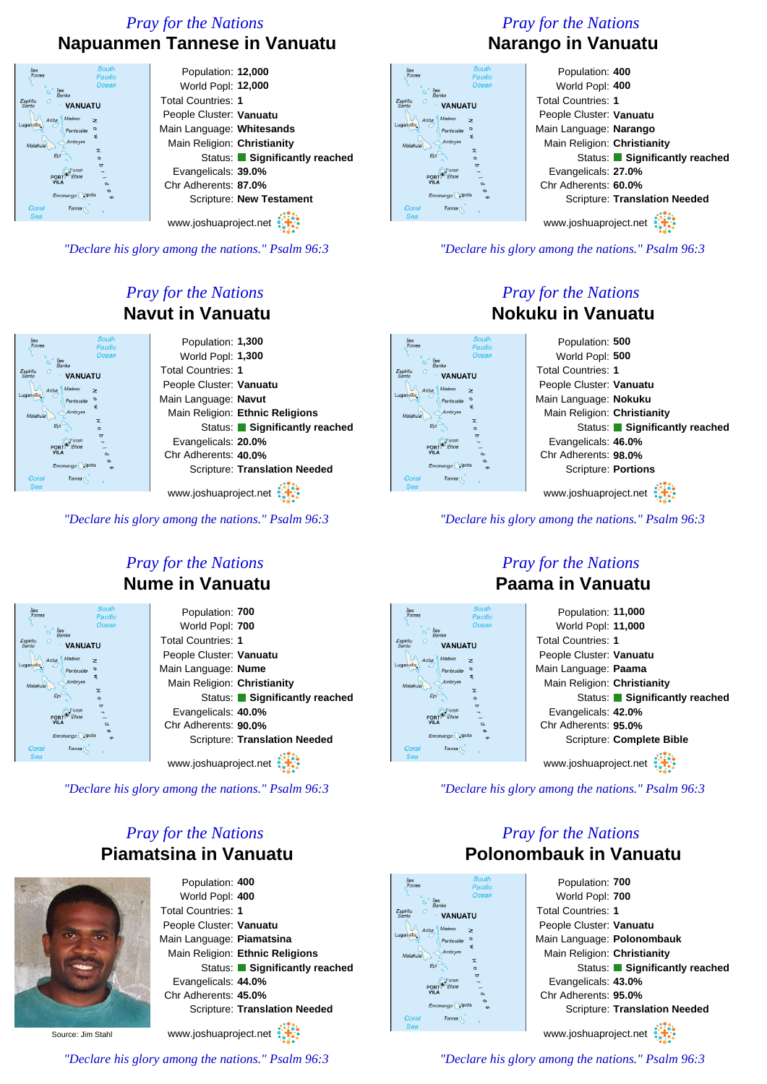#### *Pray for the Nations* **Napuanmen Tannese in Vanuatu**



*"Declare his glory among the nations." Psalm 96:3*

#### *Pray for the Nations* **Navut in Vanuatu**



www.joshuaproject.net

*"Declare his glory among the nations." Psalm 96:3*

#### *Pray for the Nations* **Nume in Vanuatu**

| <b>South</b><br>Îles<br>Torres<br>Pacific | Population: 700                      |
|-------------------------------------------|--------------------------------------|
| Ocean<br>lles                             | World Popl: 700                      |
| <b>Banks</b><br><b>VANUATU</b>            | <b>Total Countries: 1</b>            |
| Maéwo<br>Aoba<br>$\geq$                   | People Cluster: Vanuatu              |
| Pentecóte<br>s                            | Main Language: Nume                  |
| Ambrym<br>Malakula<br>T                   | Main Religion: Christianity          |
| $\sigma$<br>$\overline{C}$                | Status: Significantly reached        |
| POR <sup>®</sup>                          | Evangelicals: 40.0%                  |
| VIL.<br>$\alpha$<br>$\sigma$              | Chr Adherents: 90.0%                 |
| Erromango pota<br>$\epsilon$              | <b>Scripture: Translation Needed</b> |
| Coral<br>Tanna <sub>[</sub><br>Sea        | www.joshuaproject.net                |

*"Declare his glory among the nations." Psalm 96:3*

#### *Pray for the Nations* **Piamatsina in Vanuatu**



Population: **400** World Popl: **400** Total Countries: **1** People Cluster: **Vanuatu** Main Language: **Piamatsina** Main Religion: **Ethnic Religions** Status: **Significantly reached** Evangelicals: **44.0%** Chr Adherents: **45.0%** Scripture: **Translation Needed**

www.joshuaproject.net

*"Declare his glory among the nations." Psalm 96:3*

Source: Jim Stahl



**VANUATU** 

PORT<sup>®</sup>

#### Population: **400** World Popl: **400** Total Countries: **1** People Cluster: **Vanuatu** Main Language: **Narango** Main Religion: **Christianity** Status: **Significantly reached** Evangelicals: **27.0%** Chr Adherents: **60.0%** Scripture: **Translation Needed** www.joshuaproject.net

*"Declare his glory among the nations." Psalm 96:3*

#### *Pray for the Nations* **Nokuku in Vanuatu**



*"Declare his glory among the nations." Psalm 96:3*

### **VANHATH** PORT<sup>®</sup>

#### *Pray for the Nations* **Paama in Vanuatu**



*"Declare his glory among the nations." Psalm 96:3*

#### *Pray for the Nations* **Polonombauk in Vanuatu**



Population: **700** World Popl: **700** Total Countries: **1** People Cluster: **Vanuatu** Main Language: **Polonombauk** Main Religion: **Christianity** Status: **Significantly reached** Evangelicals: **43.0%** Chr Adherents: **95.0%** Scripture: **Translation Needed** www.joshuaproject.net

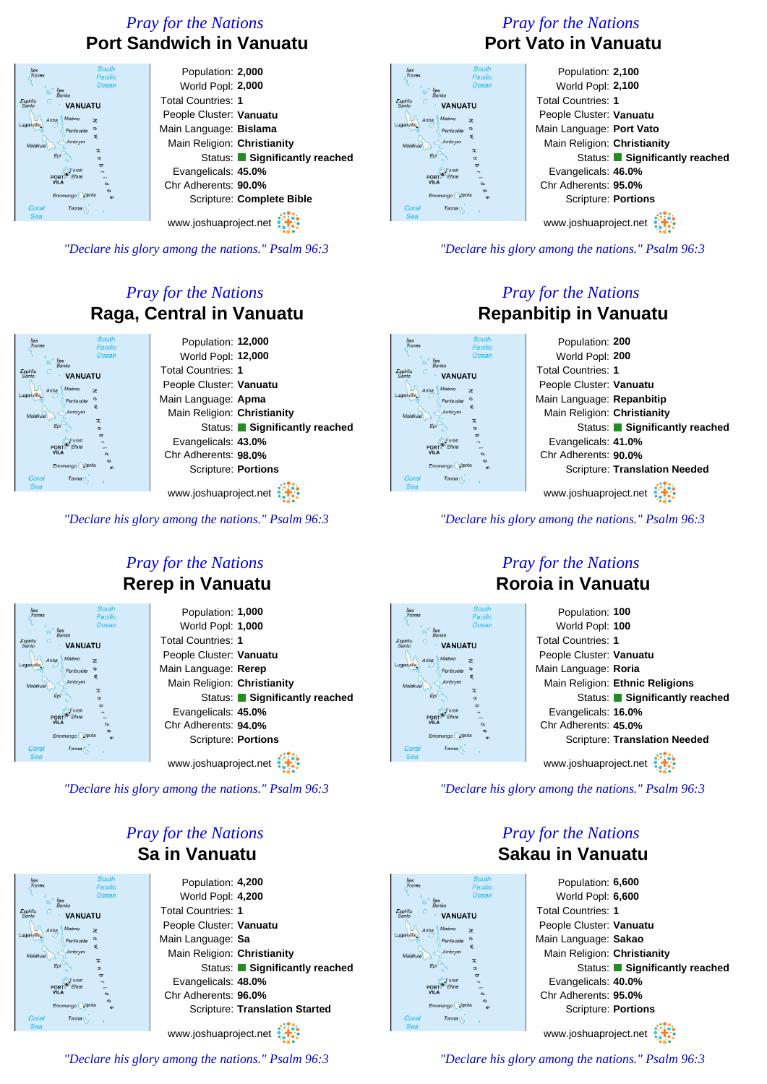#### *Pray for the Nations* **Port Sandwich in Vanuatu**

| <b>South</b><br>Îles<br>Torres<br>Pacific | Population: 2,000             |
|-------------------------------------------|-------------------------------|
| Ocean<br>lles                             | World Popl: 2,000             |
| <b>Banks</b><br><b>VANUATU</b>            | <b>Total Countries: 1</b>     |
| Maéwo<br>Aoba<br>z                        | People Cluster: Vanuatu       |
| <b>anville</b><br>Pentecóte<br>ξ          | Main Language: Bislama        |
| Ambrym<br>Malakula<br>I                   | Main Religion: Christianity   |
| $\sigma$<br>ಠ                             | Status: Significantly reached |
| <b>PORT</b>                               | Evangelicals: 45.0%           |
| <b>VILA</b><br>$\alpha$<br>$\sigma$       | Chr Adherents: 90.0%          |
| Erromango pota<br>cn.                     | Scripture: Complete Bible     |
| Coral<br>Tanna <sub>[</sub><br>Sea        |                               |
|                                           | www.joshuaproject.net         |

*"Declare his glory among the nations." Psalm 96:3*

#### *Pray for the Nations* **Raga, Central in Vanuatu**



*"Declare his glory among the nations." Psalm 96:3*

#### *Pray for the Nations* **Rerep in Vanuatu**

| Population: 1,000             |
|-------------------------------|
| World Popl: 1,000             |
| <b>Total Countries: 1</b>     |
| People Cluster: Vanuatu       |
| Main Language: Rerep          |
| Main Religion: Christianity   |
| Status: Significantly reached |
| Evangelicals: 45.0%           |
| Chr Adherents: 94.0%          |
| Scripture: Portions           |
| www.joshuaproject.net         |
|                               |

*"Declare his glory among the nations." Psalm 96:3*

#### *Pray for the Nations* **Sa in Vanuatu**



World Popl: **4,200** People Cluster: **Vanuatu** Main Language: **Sa** Main Religion: **Christianity** Status: **Significantly reached** Evangelicals: **48.0%** Chr Adherents: **96.0%** Scripture: **Translation Started** www.joshuaproject.net

*"Declare his glory among the nations." Psalm 96:3*

#### *Pray for the Nations* **Port Vato in Vanuatu**

| <b>South</b><br>es<br>orres<br><b>Pacific</b> | Population: 2,100             |
|-----------------------------------------------|-------------------------------|
| Ocean<br>lles                                 | World Popl: 2,100             |
| <b>Banks</b><br>tu<br><b>VANUATU</b>          | <b>Total Countries: 1</b>     |
| Maéwo<br>Aoba<br>$\geq$                       | People Cluster: Vanuatu       |
| Pentecote<br>s                                | Main Language: Port Vato      |
| Ambrym<br>lakula<br>T                         | Main Religion: Christianity   |
| ¢                                             | Status: Significantly reached |
| $\sigma$<br><b>PORT</b>                       | Evangelicals: 46.0%           |
| <b>VILA</b><br>$\sim$<br>ø                    | Chr Adherents: 95.0%          |
| Erromango pota<br>$\Omega$                    | Scripture: Portions           |
| 'oral<br>Tanna <b>T</b><br>Зеа                | $uninu$ ioobuonrojoot not     |
|                                               |                               |

Espir<br>San Lug:

www.joshuaproject.net

*"Declare his glory among the nations." Psalm 96:3*

#### *Pray for the Nations* **Repanbitip in Vanuatu**



*"Declare his glory among the nations." Psalm 96:3*

## **VANHATH** PORT<sup>®</sup>

#### *Pray for the Nations* **Roroia in Vanuatu**



*"Declare his glory among the nations." Psalm 96:3*

*Pray for the Nations*

# VANUATU

Population: **6,600** World Popl: **6,600** Total Countries: **1** People Cluster: **Vanuatu** Main Language: **Sakao** Main Religion: **Christianity** Status: **Significantly reached** Evangelicals: **40.0%** Chr Adherents: **95.0%** Scripture: **Portions** www.joshuaproject.net

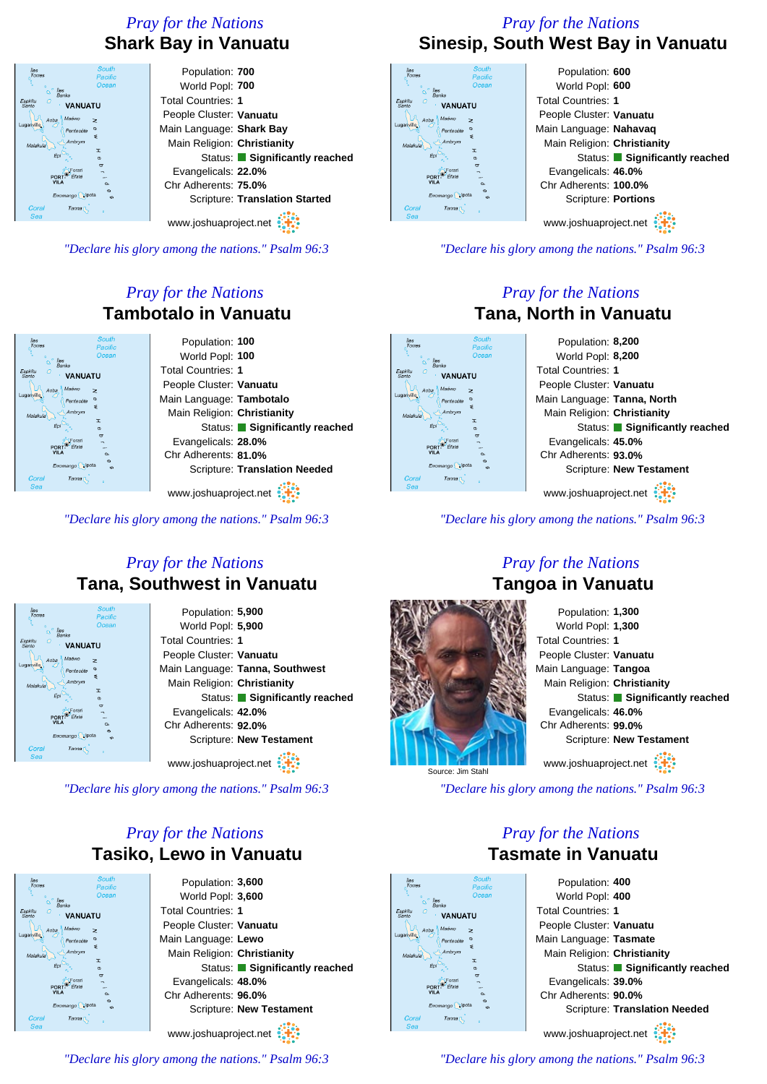#### *Pray for the Nations* **Shark Bay in Vanuatu**

| <b>South</b><br>lles<br>Torres<br>Pacific | Population: 700                       |
|-------------------------------------------|---------------------------------------|
| Ocean<br><i>lles</i>                      | World Popl: 700                       |
| <b>Banks</b><br><b>VANUATU</b>            | <b>Total Countries: 1</b>             |
| Maéwo<br>Aoba<br>z                        | People Cluster: Vanuatu               |
| Pentecóte<br>₹                            | Main Language: Shark Bay              |
| Ambrym<br>alakula<br>T                    | Main Religion: Christianity           |
| Êрі<br>$\sigma$<br>ಠ                      | Status: Significantly reached         |
| PORT                                      | Evangelicals: 22.0%                   |
| $\alpha$<br>$\sigma$                      | Chr Adherents: 75.0%                  |
| Erromango pota<br>cn.                     | <b>Scripture: Translation Started</b> |
| coral<br>Tanna <sub>[</sub><br>Sea        |                                       |
|                                           | www.joshuaproject.net                 |

*"Declare his glory among the nations." Psalm 96:3*

#### *Pray for the Nations* **Tambotalo in Vanuatu**

|                                | <b>South</b><br>Pacific | Population: 100                      |
|--------------------------------|-------------------------|--------------------------------------|
| lles                           | Ocean                   | World Popl: 100                      |
| <b>Banks</b><br><b>VANUATU</b> |                         | <b>Total Countries: 1</b>            |
| Maéwo<br>$\geq$<br>Aoba        |                         | People Cluster: Vanuatu              |
| Pentecóte                      |                         | Main Language: Tambotalo             |
| ٤<br>Ambrym<br><b>I</b>        |                         | Main Religion: Christianity          |
|                                | $\sigma$                | Status: Significantly reached        |
| <b>PORT</b>                    | $\sigma$                | Evangelicals: 28.0%                  |
|                                | $\alpha$<br>$\sigma$    | Chr Adherents: 81.0%                 |
| Erromango                      | ćĎ                      | <b>Scripture: Translation Needed</b> |
| Tanna <sub>1</sub>             |                         |                                      |

www.joshuaproject.net

*"Declare his glory among the nations." Psalm 96:3*

#### *Pray for the Nations* **Tana, Southwest in Vanuatu**



*"Declare his glory among the nations." Psalm 96:3*

#### *Pray for the Nations* **Tasiko, Lewo in Vanuatu**



Population: **3,600** World Popl: **3,600** Total Countries: **1** People Cluster: **Vanuatu** Main Language: **Lewo** Main Religion: **Christianity** Status: **Significantly reached** Evangelicals: **48.0%** Chr Adherents: **96.0%** Scripture: **New Testament**

www.joshuaproject.net

*"Declare his glory among the nations." Psalm 96:3*

#### *Pray for the Nations* **Sinesip, South West Bay in Vanuatu**

| <b>South</b><br><i>lles</i><br>Torres<br><b>Pacific</b>   | Population: 600               |
|-----------------------------------------------------------|-------------------------------|
| Ocean<br>lles                                             | World Popl: 600               |
| <b>Banks</b><br>Ω<br><b>VANUATU</b>                       | <b>Total Countries: 1</b>     |
| Maéwo<br>Aoba<br>$\geq$                                   | People Cluster: Vanuatu       |
| Pentecóte<br>s                                            | Main Language: Nahavaq        |
| Ambrym<br>Malakula<br>T                                   | Main Religion: Christianity   |
| ¢<br>$\sigma$                                             | Status: Significantly reached |
| Forar                                                     | Evangelicals: 46.0%           |
| VILA<br>o.<br>ø                                           | Chr Adherents: 100.0%         |
| Erromango pota<br>$\Omega$<br>Coral<br>Tanna <sub>1</sub> | Scripture: Portions           |
| Sea                                                       | www.joshuaproject.net         |
|                                                           |                               |

 $\frac{E_{\mathcal{S}\mathcal{L}}}{S_{\mathcal{S}\mathcal{L}}}$ 

*"Declare his glory among the nations." Psalm 96:3*

#### *Pray for the Nations* **Tana, North in Vanuatu**

Population: **8,200** World Popl: **8,200** Total Countries: **1 VANHATH** People Cluster: **Vanuatu** Main Language: **Tanna, North** Main Religion: **Christianity** Status: **Significantly reached** Evangelicals: **45.0%** Chr Adherents: **93.0%** Scripture: **New Testament** www.joshuaproject.net

*"Declare his glory among the nations." Psalm 96:3*

Source: Jim Stahl

#### Population: **1,300** World Popl: **1,300** Total Countries: **1** People Cluster: **Vanuatu** Main Language: **Tangoa** Main Religion: **Christianity** Status: **Significantly reached** Evangelicals: **46.0%** Chr Adherents: **99.0%** Scripture: **New Testament** www.joshuaproject.net

*"Declare his glory among the nations." Psalm 96:3*

#### *Pray for the Nations* **Tasmate in Vanuatu**



Population: **400** World Popl: **400** Total Countries: **1** People Cluster: **Vanuatu** Main Language: **Tasmate** Main Religion: **Christianity** Status: **Significantly reached** Evangelicals: **39.0%** Chr Adherents: **90.0%** Scripture: **Translation Needed** www.joshuaproject.net

*"Declare his glory among the nations." Psalm 96:3*

#### *Pray for the Nations* **Tangoa in Vanuatu**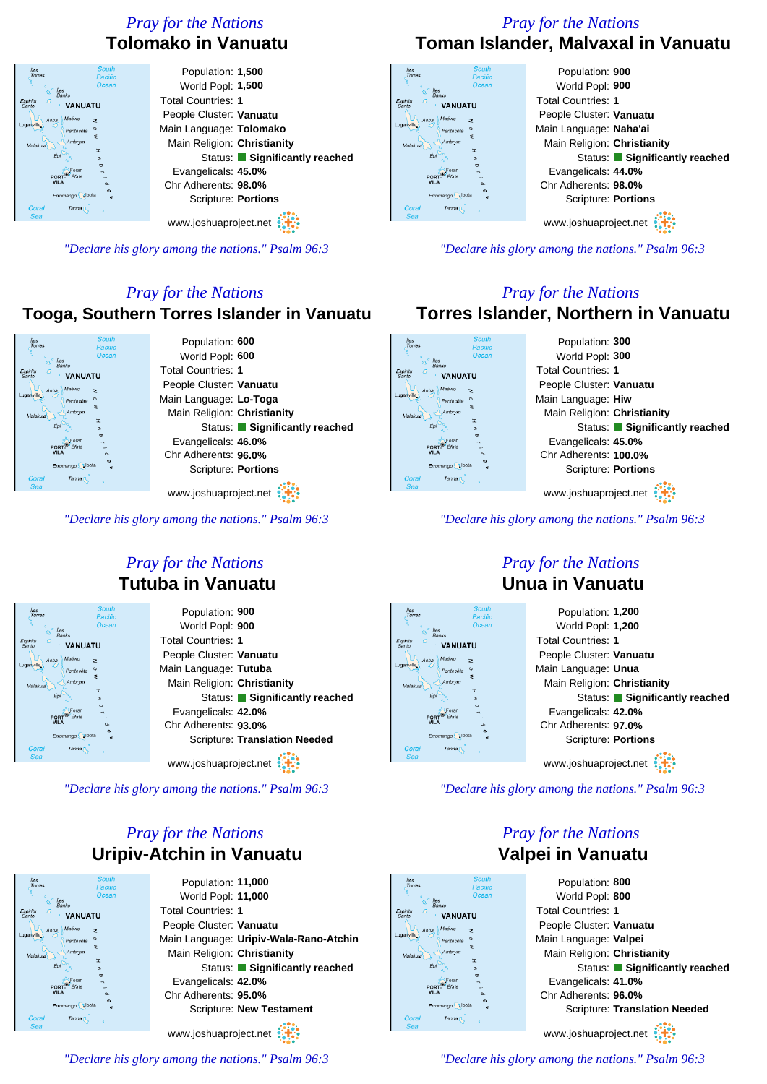#### *Pray for the Nations* **Tolomako in Vanuatu**

Population: **1,500** World Popl: **1,500** Total Countries: **1 VANUATU** People Cluster: **Vanuatu** Main Language: **Tolomako** Main Religion: **Christianity** Status: **Significantly reached** Evangelicals: **45.0%** Chr Adherents: **98.0%** Scripture: **Portions** Tanna www.joshuaproject.net

*"Declare his glory among the nations." Psalm 96:3*

#### *Pray for the Nations*

#### **Tooga, Southern Torres Islander in Vanuatu**



*"Declare his glory among the nations." Psalm 96:3*

#### *Pray for the Nations* **Tutuba in Vanuatu**

| <b>South</b><br>Îles<br>Torres<br>Pacific                   | Population: 900                      |
|-------------------------------------------------------------|--------------------------------------|
| Ocean<br>lles                                               | World Popl: 900                      |
| <b>Banks</b><br><b>VANUATU</b>                              | <b>Total Countries: 1</b>            |
| Maéwo<br>Aoha<br>z                                          | People Cluster: Vanuatu              |
| $\sigma$<br>Pentecóte<br>s                                  | Main Language: Tutuba                |
| Ambrym<br>Malakula<br>T.                                    | Main Religion: Christianity          |
| $\sigma$<br>$\sigma$                                        | Status: Significantly reached        |
| PORT                                                        | Evangelicals: 42.0%                  |
| $\alpha$                                                    | Chr Adherents: 93.0%                 |
| Erromango pota<br>$\epsilon$<br>Coral<br>Tanna <sub>[</sub> | <b>Scripture: Translation Needed</b> |
| Sea                                                         |                                      |
|                                                             | www.joshuaproject.net                |

*"Declare his glory among the nations." Psalm 96:3*

#### *Pray for the Nations* **Uripiv-Atchin in Vanuatu**



Population: **11,000** World Popl: **11,000** Total Countries: **1** People Cluster: **Vanuatu** Main Language: **Uripiv-Wala-Rano-Atchin** Main Religion: **Christianity** Status: **Significantly reached** Evangelicals: **42.0%** Chr Adherents: **95.0%** Scripture: **New Testament** www.joshuaproject.net

*"Declare his glory among the nations." Psalm 96:3*

#### *Pray for the Nations* **Toman Islander, Malvaxal in Vanuatu**

| <b>South</b><br>lles<br>Torres<br>Pacific | Population: 900               |
|-------------------------------------------|-------------------------------|
| Ocean<br>lles                             | World Popl: 900               |
| <b>Banks</b><br><b>VANUATU</b>            | <b>Total Countries: 1</b>     |
| Maéwo<br>Aoba<br>$\geq$                   | People Cluster: Vanuatu       |
| Pentecóte<br>\$                           | Main Language: Naha'ai        |
| Ambrym<br>Malakula<br>T                   | Main Religion: Christianity   |
| ക<br>ರ                                    | Status: Significantly reached |
|                                           | Evangelicals: 44.0%           |
| $\sim$<br>$\infty$                        | Chr Adherents: 98.0%          |
| Erromango pota<br>cn                      | Scripture: Portions           |
| Coral<br>Tanna <sub>(</sub><br>Sea        |                               |
|                                           | www.joshuaproject.net         |

*"Declare his glory among the nations." Psalm 96:3*

#### *Pray for the Nations* **Torres Islander, Northern in Vanuatu**



*"Declare his glory among the nations." Psalm 96:3*

### **VANHATH** PORT<sup>®</sup> Efat

#### *Pray for the Nations* **Unua in Vanuatu**



*"Declare his glory among the nations." Psalm 96:3*

#### *Pray for the Nations* **Valpei in Vanuatu**



Population: **800** World Popl: **800** Total Countries: **1** People Cluster: **Vanuatu** Main Language: **Valpei** Main Religion: **Christianity** Status: **Significantly reached** Evangelicals: **41.0%** Chr Adherents: **96.0%** Scripture: **Translation Needed** www.joshuaproject.net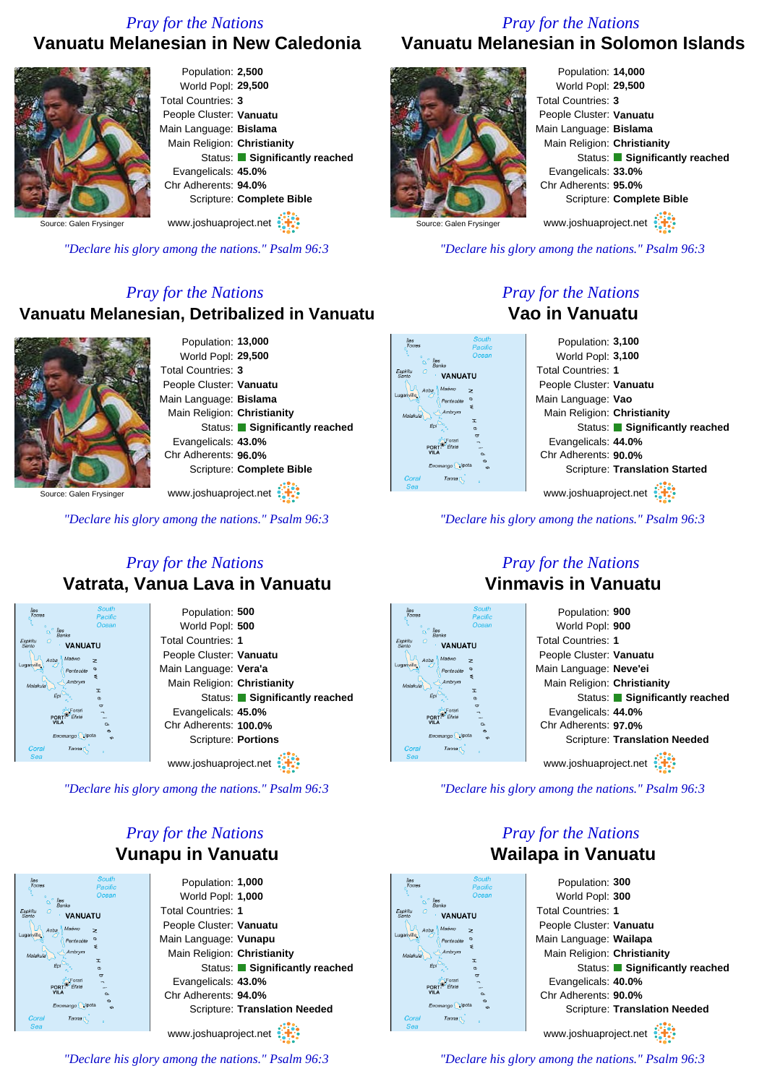#### *Pray for the Nations*

#### **Vanuatu Melanesian in New Caledonia**



Frysinge

*"Declare his glory among the nations." Psalm 96:3*

#### *Pray for the Nations*

#### **Vanuatu Melanesian, Detribalized in Vanuatu**



Population: **13,000** World Popl: **29,500** Total Countries: **3** People Cluster: **Vanuatu** Main Language: **Bislama** Main Religion: **Christianity** Status: **Significantly reached** Evangelicals: **43.0%** Chr Adherents: **96.0%** Scripture: **Complete Bible** www.joshuaproject.net

Source: Galen Frysinger

*"Declare his glory among the nations." Psalm 96:3*

#### *Pray for the Nations* **Vatrata, Vanua Lava in Vanuatu**

| Îles<br>Torres                     | <b>South</b><br>Pacific | Population: 500               |
|------------------------------------|-------------------------|-------------------------------|
| <b>Iles</b>                        | Ocean                   | World Popl: 500               |
| <b>Banks</b><br><b>VANUATU</b>     |                         | <b>Total Countries: 1</b>     |
| Maéwo<br>Aoba                      | $\geq$                  | People Cluster: Vanuatu       |
| iganville<br>Pentecóte             |                         | Main Language: Vera'a         |
| Ambrym<br>Malakula                 | ξ<br>T                  | Main Religion: Christianity   |
| Epi                                | $\sigma$                | Status: Significantly reached |
| <b>PORT</b><br>Éfaté               | $\sigma$                | Evangelicals: 45.0%           |
| <b>VILA</b>                        | $\alpha$<br>$\sigma$    | Chr Adherents: 100.0%         |
| Erromango pota                     | cn.                     | Scripture: Portions           |
| Coral<br>Tanna <sub>[</sub><br>Sea |                         |                               |
|                                    |                         | www.joshuaproject.net         |

*"Declare his glory among the nations." Psalm 96:3*

#### *Pray for the Nations* **Vunapu in Vanuatu**

Population: **1,000** World Popl: **1,000** Total Countries: **1 VANIJATI** People Cluster: **Vanuatu** Main Language: **Vunapu** Main Religion: **Christianity** Status: **Significantly reached** Evangelicals: **43.0%** Chr Adherents: **94.0%** Scripture: **Translation Needed** www.joshuaproject.net

*"Declare his glory among the nations." Psalm 96:3*

#### *Pray for the Nations* **Vanuatu Melanesian in Solomon Islands**

|                         | Population: 14,000            |
|-------------------------|-------------------------------|
|                         | World Popl: 29,500            |
|                         | Total Countries: 3            |
|                         | People Cluster: Vanuatu       |
|                         | Main Language: Bislama        |
|                         | Main Religion: Christianity   |
|                         | Status: Significantly reached |
|                         | Evangelicals: 33.0%           |
|                         | Chr Adherents: 95.0%          |
|                         | Scripture: Complete Bible     |
| Source: Galen Frysinger | www.joshuaproject.net         |
|                         |                               |

Source: Galen Frysinger

*"Declare his glory among the nations." Psalm 96:3*

#### *Pray for the Nations* **Vao in Vanuatu**

| Population: 3,100                     |
|---------------------------------------|
| World Popl: 3,100                     |
| <b>Total Countries: 1</b>             |
| People Cluster: Vanuatu               |
| Main Language: Vao                    |
| Main Religion: Christianity           |
| Status: Significantly reached         |
| Evangelicals: 44.0%                   |
| Chr Adherents: 90.0%                  |
| <b>Scripture: Translation Started</b> |
| www.joshuaproject.net                 |
|                                       |

*"Declare his glory among the nations." Psalm 96:3*

#### *Pray for the Nations* **Vinmavis in Vanuatu**



*"Declare his glory among the nations." Psalm 96:3*

*Pray for the Nations* **Wailapa in Vanuatu**

# **VANIJATI**



www.joshuaproject.net